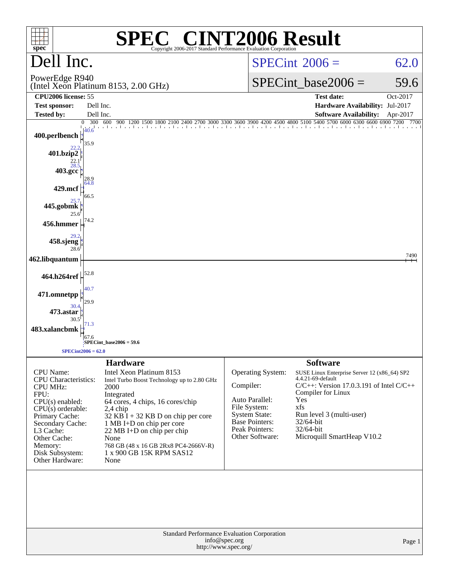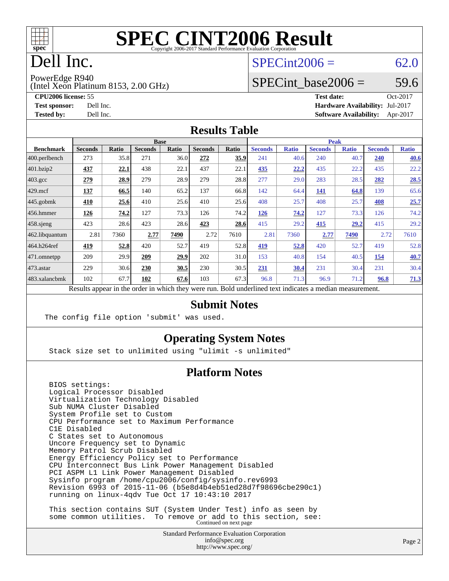

# Dell Inc.

#### $SPECint2006 = 62.0$  $SPECint2006 = 62.0$

PowerEdge R940

(Intel Xeon Platinum 8153, 2.00 GHz)

**[Test sponsor:](http://www.spec.org/auto/cpu2006/Docs/result-fields.html#Testsponsor)** Dell Inc. **[Hardware Availability:](http://www.spec.org/auto/cpu2006/Docs/result-fields.html#HardwareAvailability)** Jul-2017

SPECint base2006 =  $59.6$ **[CPU2006 license:](http://www.spec.org/auto/cpu2006/Docs/result-fields.html#CPU2006license)** 55 **[Test date:](http://www.spec.org/auto/cpu2006/Docs/result-fields.html#Testdate)** Oct-2017

**[Tested by:](http://www.spec.org/auto/cpu2006/Docs/result-fields.html#Testedby)** Dell Inc. **[Software Availability:](http://www.spec.org/auto/cpu2006/Docs/result-fields.html#SoftwareAvailability)** Apr-2017 **[Results Table](http://www.spec.org/auto/cpu2006/Docs/result-fields.html#ResultsTable)**

|                  | <b>Base</b>                                                                                              |              |                |       |                |       | <b>Peak</b>    |              |                |              |                |              |  |
|------------------|----------------------------------------------------------------------------------------------------------|--------------|----------------|-------|----------------|-------|----------------|--------------|----------------|--------------|----------------|--------------|--|
| <b>Benchmark</b> | <b>Seconds</b>                                                                                           | <b>Ratio</b> | <b>Seconds</b> | Ratio | <b>Seconds</b> | Ratio | <b>Seconds</b> | <b>Ratio</b> | <b>Seconds</b> | <b>Ratio</b> | <b>Seconds</b> | <b>Ratio</b> |  |
| 400.perlbench    | 273                                                                                                      | 35.8         | 271            | 36.0  | 272            | 35.9  | 241            | 40.6         | 240            | 40.7         | 240            | <u>40.6</u>  |  |
| 401.bzip2        | 437                                                                                                      | 22.1         | 438            | 22.1  | 437            | 22.1  | 435            | 22.2         | 435            | 22.2         | 435            | 22.2         |  |
| $403.\text{gcc}$ | 279                                                                                                      | 28.9         | 279            | 28.9  | 279            | 28.8  | 277            | 29.0         | 283            | 28.5         | 282            | 28.5         |  |
| $429$ mcf        | 137                                                                                                      | 66.5         | 140            | 65.2  | 137            | 66.8  | 142            | 64.4         | 141            | 64.8         | 139            | 65.6         |  |
| $445$ .gobm $k$  | 410                                                                                                      | 25.6         | 410            | 25.6  | 410            | 25.6  | 408            | 25.7         | 408            | 25.7         | 408            | 25.7         |  |
| 456.hmmer        | 126                                                                                                      | 74.2         | 127            | 73.3  | 126            | 74.2  | 126            | 74.2         | 127            | 73.3         | 126            | 74.2         |  |
| $458$ .sjeng     | 423                                                                                                      | 28.6         | 423            | 28.6  | 423            | 28.6  | 415            | 29.2         | 415            | 29.2         | 415            | 29.2         |  |
| 462.libquantum   | 2.81                                                                                                     | 7360         | 2.77           | 7490  | 2.72           | 7610  | 2.81           | 7360         | 2.77           | 7490         | 2.72           | 7610         |  |
| 464.h264ref      | 419                                                                                                      | 52.8         | 420            | 52.7  | 419            | 52.8  | 419            | 52.8         | 420            | 52.7         | 419            | 52.8         |  |
| 471.omnetpp      | 209                                                                                                      | 29.9         | 209            | 29.9  | 202            | 31.0  | 153            | 40.8         | 154            | 40.5         | 154            | 40.7         |  |
| 473.astar        | 229                                                                                                      | 30.6         | 230            | 30.5  | 230            | 30.5  | 231            | 30.4         | 231            | 30.4         | 231            | 30.4         |  |
| 483.xalancbmk    | 102                                                                                                      | 67.7         | 102            | 67.6  | 103            | 67.3  | 96.8           | 71.3         | 96.9           | 71.2         | 96.8           | 71.3         |  |
|                  | Results appear in the order in which they were run. Bold underlined text indicates a median measurement. |              |                |       |                |       |                |              |                |              |                |              |  |

#### **[Submit Notes](http://www.spec.org/auto/cpu2006/Docs/result-fields.html#SubmitNotes)**

The config file option 'submit' was used.

#### **[Operating System Notes](http://www.spec.org/auto/cpu2006/Docs/result-fields.html#OperatingSystemNotes)**

Stack size set to unlimited using "ulimit -s unlimited"

#### **[Platform Notes](http://www.spec.org/auto/cpu2006/Docs/result-fields.html#PlatformNotes)**

 BIOS settings: Logical Processor Disabled Virtualization Technology Disabled Sub NUMA Cluster Disabled System Profile set to Custom CPU Performance set to Maximum Performance C1E Disabled C States set to Autonomous Uncore Frequency set to Dynamic Memory Patrol Scrub Disabled Energy Efficiency Policy set to Performance CPU Interconnect Bus Link Power Management Disabled PCI ASPM L1 Link Power Management Disabled Sysinfo program /home/cpu2006/config/sysinfo.rev6993 Revision 6993 of 2015-11-06 (b5e8d4b4eb51ed28d7f98696cbe290c1) running on linux-4qdv Tue Oct 17 10:43:10 2017 This section contains SUT (System Under Test) info as seen by

some common utilities. To remove or add to this section, see:<br>Continued on next page

Standard Performance Evaluation Corporation [info@spec.org](mailto:info@spec.org) <http://www.spec.org/>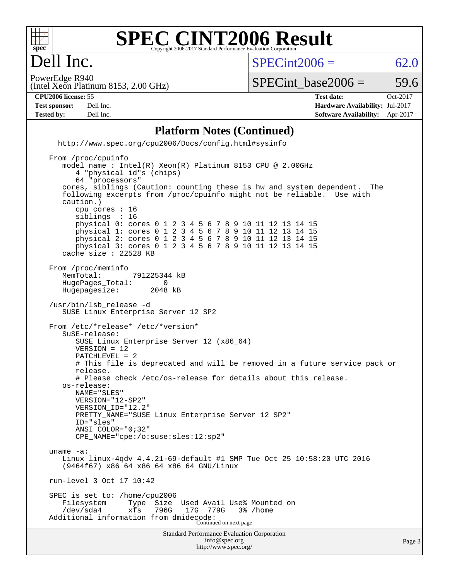

#### **[SPEC CINT2006 Result](http://www.spec.org/auto/cpu2006/Docs/result-fields.html#SPECCINT2006Result)** Copyright 2006-2017 Standard Performance Evaluation Corpor

 $SPECint2006 = 62.0$  $SPECint2006 = 62.0$ 

(Intel Xeon Platinum 8153, 2.00 GHz) PowerEdge R940

SPECint base2006 =  $59.6$ 

Dell Inc.

**[Tested by:](http://www.spec.org/auto/cpu2006/Docs/result-fields.html#Testedby)** Dell Inc. **[Software Availability:](http://www.spec.org/auto/cpu2006/Docs/result-fields.html#SoftwareAvailability)** Apr-2017

**[CPU2006 license:](http://www.spec.org/auto/cpu2006/Docs/result-fields.html#CPU2006license)** 55 **[Test date:](http://www.spec.org/auto/cpu2006/Docs/result-fields.html#Testdate)** Oct-2017 **[Test sponsor:](http://www.spec.org/auto/cpu2006/Docs/result-fields.html#Testsponsor)** Dell Inc. **[Hardware Availability:](http://www.spec.org/auto/cpu2006/Docs/result-fields.html#HardwareAvailability)** Jul-2017

#### **[Platform Notes \(Continued\)](http://www.spec.org/auto/cpu2006/Docs/result-fields.html#PlatformNotes)**

 <http://www.spec.org/cpu2006/Docs/config.html#sysinfo> From /proc/cpuinfo

Standard Performance Evaluation Corporation [info@spec.org](mailto:info@spec.org) model name : Intel(R) Xeon(R) Platinum 8153 CPU @ 2.00GHz 4 "physical id"s (chips) 64 "processors" cores, siblings (Caution: counting these is hw and system dependent. The following excerpts from /proc/cpuinfo might not be reliable. Use with caution.) cpu cores : 16 siblings physical 0: cores 0 1 2 3 4 5 6 7 8 9 10 11 12 13 14 15 physical 1: cores 0 1 2 3 4 5 6 7 8 9 10 11 12 13 14 15 physical 2: cores 0 1 2 3 4 5 6 7 8 9 10 11 12 13 14 15 physical 3: cores 0 1 2 3 4 5 6 7 8 9 10 11 12 13 14 15 cache size : 22528 KB From /proc/meminfo MemTotal: 791225344 kB<br>HugePages Total: 0 HugePages\_Total: 0<br>Hugepagesize: 2048 kB Hugepagesize: /usr/bin/lsb\_release -d SUSE Linux Enterprise Server 12 SP2 From /etc/\*release\* /etc/\*version\* SuSE-release: SUSE Linux Enterprise Server 12 (x86\_64) VERSION = 12 PATCHLEVEL = 2 # This file is deprecated and will be removed in a future service pack or release. # Please check /etc/os-release for details about this release. os-release: NAME="SLES" VERSION="12-SP2" VERSION\_ID="12.2" PRETTY\_NAME="SUSE Linux Enterprise Server 12 SP2" ID="sles" ANSI\_COLOR="0;32" CPE\_NAME="cpe:/o:suse:sles:12:sp2" uname -a: Linux linux-4qdv 4.4.21-69-default #1 SMP Tue Oct 25 10:58:20 UTC 2016 (9464f67) x86\_64 x86\_64 x86\_64 GNU/Linux run-level 3 Oct 17 10:42 SPEC is set to: /home/cpu2006<br>Filesystem Type Size Used Avail Use% Mounted on /dev/sda4 xfs 796G 17G 779G 3% /home Additional information from dmidecode: Continued on next page

<http://www.spec.org/>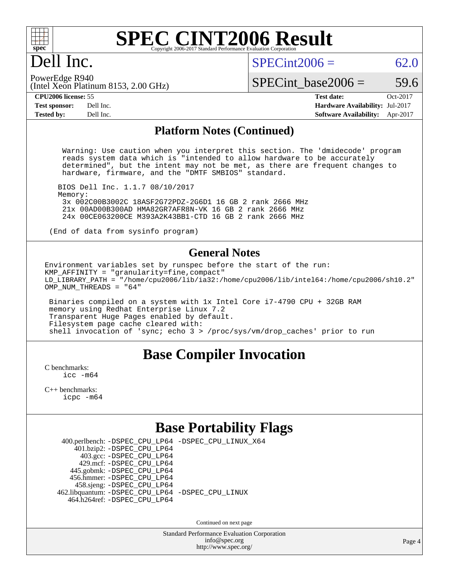

### Dell Inc.

 $SPECint2006 = 62.0$  $SPECint2006 = 62.0$ 

(Intel Xeon Platinum 8153, 2.00 GHz) PowerEdge R940

SPECint base2006 =  $59.6$ 

**[CPU2006 license:](http://www.spec.org/auto/cpu2006/Docs/result-fields.html#CPU2006license)** 55 **[Test date:](http://www.spec.org/auto/cpu2006/Docs/result-fields.html#Testdate)** Oct-2017 **[Test sponsor:](http://www.spec.org/auto/cpu2006/Docs/result-fields.html#Testsponsor)** Dell Inc. **[Hardware Availability:](http://www.spec.org/auto/cpu2006/Docs/result-fields.html#HardwareAvailability)** Jul-2017 **[Tested by:](http://www.spec.org/auto/cpu2006/Docs/result-fields.html#Testedby)** Dell Inc. **[Software Availability:](http://www.spec.org/auto/cpu2006/Docs/result-fields.html#SoftwareAvailability)** Apr-2017

#### **[Platform Notes \(Continued\)](http://www.spec.org/auto/cpu2006/Docs/result-fields.html#PlatformNotes)**

 Warning: Use caution when you interpret this section. The 'dmidecode' program reads system data which is "intended to allow hardware to be accurately determined", but the intent may not be met, as there are frequent changes to hardware, firmware, and the "DMTF SMBIOS" standard.

 BIOS Dell Inc. 1.1.7 08/10/2017 Memory: 3x 002C00B3002C 18ASF2G72PDZ-2G6D1 16 GB 2 rank 2666 MHz 21x 00AD00B300AD HMA82GR7AFR8N-VK 16 GB 2 rank 2666 MHz 24x 00CE063200CE M393A2K43BB1-CTD 16 GB 2 rank 2666 MHz

(End of data from sysinfo program)

#### **[General Notes](http://www.spec.org/auto/cpu2006/Docs/result-fields.html#GeneralNotes)**

Environment variables set by runspec before the start of the run: KMP\_AFFINITY = "granularity=fine,compact" LD\_LIBRARY\_PATH = "/home/cpu2006/lib/ia32:/home/cpu2006/lib/intel64:/home/cpu2006/sh10.2" OMP NUM THREADS = "64"

 Binaries compiled on a system with 1x Intel Core i7-4790 CPU + 32GB RAM memory using Redhat Enterprise Linux 7.2 Transparent Huge Pages enabled by default. Filesystem page cache cleared with: shell invocation of 'sync; echo 3 > /proc/sys/vm/drop\_caches' prior to run

#### **[Base Compiler Invocation](http://www.spec.org/auto/cpu2006/Docs/result-fields.html#BaseCompilerInvocation)**

[C benchmarks](http://www.spec.org/auto/cpu2006/Docs/result-fields.html#Cbenchmarks): [icc -m64](http://www.spec.org/cpu2006/results/res2017q4/cpu2006-20171030-50396.flags.html#user_CCbase_intel_icc_64bit_bda6cc9af1fdbb0edc3795bac97ada53)

[C++ benchmarks:](http://www.spec.org/auto/cpu2006/Docs/result-fields.html#CXXbenchmarks) [icpc -m64](http://www.spec.org/cpu2006/results/res2017q4/cpu2006-20171030-50396.flags.html#user_CXXbase_intel_icpc_64bit_fc66a5337ce925472a5c54ad6a0de310)

### **[Base Portability Flags](http://www.spec.org/auto/cpu2006/Docs/result-fields.html#BasePortabilityFlags)**

 400.perlbench: [-DSPEC\\_CPU\\_LP64](http://www.spec.org/cpu2006/results/res2017q4/cpu2006-20171030-50396.flags.html#b400.perlbench_basePORTABILITY_DSPEC_CPU_LP64) [-DSPEC\\_CPU\\_LINUX\\_X64](http://www.spec.org/cpu2006/results/res2017q4/cpu2006-20171030-50396.flags.html#b400.perlbench_baseCPORTABILITY_DSPEC_CPU_LINUX_X64)  $401.bzip2: -DSPEC_CPULP64$  403.gcc: [-DSPEC\\_CPU\\_LP64](http://www.spec.org/cpu2006/results/res2017q4/cpu2006-20171030-50396.flags.html#suite_basePORTABILITY403_gcc_DSPEC_CPU_LP64) 429.mcf: [-DSPEC\\_CPU\\_LP64](http://www.spec.org/cpu2006/results/res2017q4/cpu2006-20171030-50396.flags.html#suite_basePORTABILITY429_mcf_DSPEC_CPU_LP64) 445.gobmk: [-DSPEC\\_CPU\\_LP64](http://www.spec.org/cpu2006/results/res2017q4/cpu2006-20171030-50396.flags.html#suite_basePORTABILITY445_gobmk_DSPEC_CPU_LP64) 456.hmmer: [-DSPEC\\_CPU\\_LP64](http://www.spec.org/cpu2006/results/res2017q4/cpu2006-20171030-50396.flags.html#suite_basePORTABILITY456_hmmer_DSPEC_CPU_LP64) 458.sjeng: [-DSPEC\\_CPU\\_LP64](http://www.spec.org/cpu2006/results/res2017q4/cpu2006-20171030-50396.flags.html#suite_basePORTABILITY458_sjeng_DSPEC_CPU_LP64) 462.libquantum: [-DSPEC\\_CPU\\_LP64](http://www.spec.org/cpu2006/results/res2017q4/cpu2006-20171030-50396.flags.html#suite_basePORTABILITY462_libquantum_DSPEC_CPU_LP64) [-DSPEC\\_CPU\\_LINUX](http://www.spec.org/cpu2006/results/res2017q4/cpu2006-20171030-50396.flags.html#b462.libquantum_baseCPORTABILITY_DSPEC_CPU_LINUX) 464.h264ref: [-DSPEC\\_CPU\\_LP64](http://www.spec.org/cpu2006/results/res2017q4/cpu2006-20171030-50396.flags.html#suite_basePORTABILITY464_h264ref_DSPEC_CPU_LP64)

Continued on next page

Standard Performance Evaluation Corporation [info@spec.org](mailto:info@spec.org) <http://www.spec.org/>

Page 4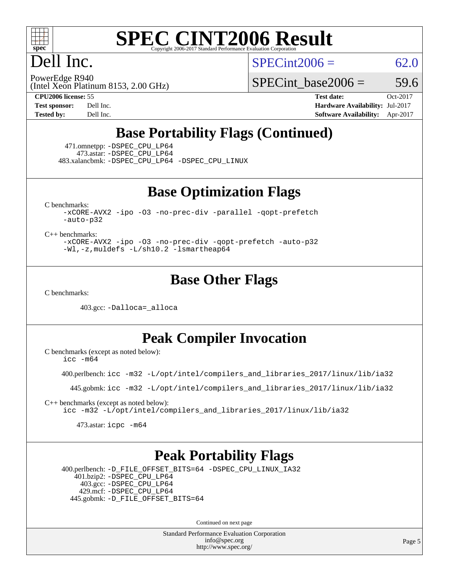

## Dell Inc.

 $SPECint2006 = 62.0$  $SPECint2006 = 62.0$ 

(Intel Xeon Platinum 8153, 2.00 GHz) PowerEdge R940

SPECint base2006 =  $59.6$ 

**[CPU2006 license:](http://www.spec.org/auto/cpu2006/Docs/result-fields.html#CPU2006license)** 55 **[Test date:](http://www.spec.org/auto/cpu2006/Docs/result-fields.html#Testdate)** Oct-2017 **[Test sponsor:](http://www.spec.org/auto/cpu2006/Docs/result-fields.html#Testsponsor)** Dell Inc. **[Hardware Availability:](http://www.spec.org/auto/cpu2006/Docs/result-fields.html#HardwareAvailability)** Jul-2017 **[Tested by:](http://www.spec.org/auto/cpu2006/Docs/result-fields.html#Testedby)** Dell Inc. **[Software Availability:](http://www.spec.org/auto/cpu2006/Docs/result-fields.html#SoftwareAvailability)** Apr-2017

### **[Base Portability Flags \(Continued\)](http://www.spec.org/auto/cpu2006/Docs/result-fields.html#BasePortabilityFlags)**

 471.omnetpp: [-DSPEC\\_CPU\\_LP64](http://www.spec.org/cpu2006/results/res2017q4/cpu2006-20171030-50396.flags.html#suite_basePORTABILITY471_omnetpp_DSPEC_CPU_LP64) 473.astar: [-DSPEC\\_CPU\\_LP64](http://www.spec.org/cpu2006/results/res2017q4/cpu2006-20171030-50396.flags.html#suite_basePORTABILITY473_astar_DSPEC_CPU_LP64) 483.xalancbmk: [-DSPEC\\_CPU\\_LP64](http://www.spec.org/cpu2006/results/res2017q4/cpu2006-20171030-50396.flags.html#suite_basePORTABILITY483_xalancbmk_DSPEC_CPU_LP64) [-DSPEC\\_CPU\\_LINUX](http://www.spec.org/cpu2006/results/res2017q4/cpu2006-20171030-50396.flags.html#b483.xalancbmk_baseCXXPORTABILITY_DSPEC_CPU_LINUX)

**[Base Optimization Flags](http://www.spec.org/auto/cpu2006/Docs/result-fields.html#BaseOptimizationFlags)**

[C benchmarks](http://www.spec.org/auto/cpu2006/Docs/result-fields.html#Cbenchmarks):

[-xCORE-AVX2](http://www.spec.org/cpu2006/results/res2017q4/cpu2006-20171030-50396.flags.html#user_CCbase_f-xCORE-AVX2) [-ipo](http://www.spec.org/cpu2006/results/res2017q4/cpu2006-20171030-50396.flags.html#user_CCbase_f-ipo) [-O3](http://www.spec.org/cpu2006/results/res2017q4/cpu2006-20171030-50396.flags.html#user_CCbase_f-O3) [-no-prec-div](http://www.spec.org/cpu2006/results/res2017q4/cpu2006-20171030-50396.flags.html#user_CCbase_f-no-prec-div) [-parallel](http://www.spec.org/cpu2006/results/res2017q4/cpu2006-20171030-50396.flags.html#user_CCbase_f-parallel) [-qopt-prefetch](http://www.spec.org/cpu2006/results/res2017q4/cpu2006-20171030-50396.flags.html#user_CCbase_f-qopt-prefetch) [-auto-p32](http://www.spec.org/cpu2006/results/res2017q4/cpu2006-20171030-50396.flags.html#user_CCbase_f-auto-p32)

[C++ benchmarks:](http://www.spec.org/auto/cpu2006/Docs/result-fields.html#CXXbenchmarks)

[-xCORE-AVX2](http://www.spec.org/cpu2006/results/res2017q4/cpu2006-20171030-50396.flags.html#user_CXXbase_f-xCORE-AVX2) [-ipo](http://www.spec.org/cpu2006/results/res2017q4/cpu2006-20171030-50396.flags.html#user_CXXbase_f-ipo) [-O3](http://www.spec.org/cpu2006/results/res2017q4/cpu2006-20171030-50396.flags.html#user_CXXbase_f-O3) [-no-prec-div](http://www.spec.org/cpu2006/results/res2017q4/cpu2006-20171030-50396.flags.html#user_CXXbase_f-no-prec-div) [-qopt-prefetch](http://www.spec.org/cpu2006/results/res2017q4/cpu2006-20171030-50396.flags.html#user_CXXbase_f-qopt-prefetch) [-auto-p32](http://www.spec.org/cpu2006/results/res2017q4/cpu2006-20171030-50396.flags.html#user_CXXbase_f-auto-p32) [-Wl,-z,muldefs](http://www.spec.org/cpu2006/results/res2017q4/cpu2006-20171030-50396.flags.html#user_CXXbase_link_force_multiple1_74079c344b956b9658436fd1b6dd3a8a) [-L/sh10.2 -lsmartheap64](http://www.spec.org/cpu2006/results/res2017q4/cpu2006-20171030-50396.flags.html#user_CXXbase_SmartHeap64_63911d860fc08c15fa1d5bf319b9d8d5)

#### **[Base Other Flags](http://www.spec.org/auto/cpu2006/Docs/result-fields.html#BaseOtherFlags)**

[C benchmarks](http://www.spec.org/auto/cpu2006/Docs/result-fields.html#Cbenchmarks):

403.gcc: [-Dalloca=\\_alloca](http://www.spec.org/cpu2006/results/res2017q4/cpu2006-20171030-50396.flags.html#b403.gcc_baseEXTRA_CFLAGS_Dalloca_be3056838c12de2578596ca5467af7f3)

**[Peak Compiler Invocation](http://www.spec.org/auto/cpu2006/Docs/result-fields.html#PeakCompilerInvocation)**

[C benchmarks \(except as noted below\)](http://www.spec.org/auto/cpu2006/Docs/result-fields.html#Cbenchmarksexceptasnotedbelow): [icc -m64](http://www.spec.org/cpu2006/results/res2017q4/cpu2006-20171030-50396.flags.html#user_CCpeak_intel_icc_64bit_bda6cc9af1fdbb0edc3795bac97ada53)

400.perlbench: [icc -m32 -L/opt/intel/compilers\\_and\\_libraries\\_2017/linux/lib/ia32](http://www.spec.org/cpu2006/results/res2017q4/cpu2006-20171030-50396.flags.html#user_peakCCLD400_perlbench_intel_icc_c29f3ff5a7ed067b11e4ec10a03f03ae)

445.gobmk: [icc -m32 -L/opt/intel/compilers\\_and\\_libraries\\_2017/linux/lib/ia32](http://www.spec.org/cpu2006/results/res2017q4/cpu2006-20171030-50396.flags.html#user_peakCCLD445_gobmk_intel_icc_c29f3ff5a7ed067b11e4ec10a03f03ae)

[C++ benchmarks \(except as noted below\):](http://www.spec.org/auto/cpu2006/Docs/result-fields.html#CXXbenchmarksexceptasnotedbelow) [icc -m32 -L/opt/intel/compilers\\_and\\_libraries\\_2017/linux/lib/ia32](http://www.spec.org/cpu2006/results/res2017q4/cpu2006-20171030-50396.flags.html#user_CXXpeak_intel_icc_c29f3ff5a7ed067b11e4ec10a03f03ae)

473.astar: [icpc -m64](http://www.spec.org/cpu2006/results/res2017q4/cpu2006-20171030-50396.flags.html#user_peakCXXLD473_astar_intel_icpc_64bit_fc66a5337ce925472a5c54ad6a0de310)

#### **[Peak Portability Flags](http://www.spec.org/auto/cpu2006/Docs/result-fields.html#PeakPortabilityFlags)**

 400.perlbench: [-D\\_FILE\\_OFFSET\\_BITS=64](http://www.spec.org/cpu2006/results/res2017q4/cpu2006-20171030-50396.flags.html#user_peakPORTABILITY400_perlbench_file_offset_bits_64_438cf9856305ebd76870a2c6dc2689ab) [-DSPEC\\_CPU\\_LINUX\\_IA32](http://www.spec.org/cpu2006/results/res2017q4/cpu2006-20171030-50396.flags.html#b400.perlbench_peakCPORTABILITY_DSPEC_CPU_LINUX_IA32) 401.bzip2: [-DSPEC\\_CPU\\_LP64](http://www.spec.org/cpu2006/results/res2017q4/cpu2006-20171030-50396.flags.html#suite_peakPORTABILITY401_bzip2_DSPEC_CPU_LP64) 403.gcc: [-DSPEC\\_CPU\\_LP64](http://www.spec.org/cpu2006/results/res2017q4/cpu2006-20171030-50396.flags.html#suite_peakPORTABILITY403_gcc_DSPEC_CPU_LP64) 429.mcf: [-DSPEC\\_CPU\\_LP64](http://www.spec.org/cpu2006/results/res2017q4/cpu2006-20171030-50396.flags.html#suite_peakPORTABILITY429_mcf_DSPEC_CPU_LP64) 445.gobmk: [-D\\_FILE\\_OFFSET\\_BITS=64](http://www.spec.org/cpu2006/results/res2017q4/cpu2006-20171030-50396.flags.html#user_peakPORTABILITY445_gobmk_file_offset_bits_64_438cf9856305ebd76870a2c6dc2689ab)

Continued on next page

Standard Performance Evaluation Corporation [info@spec.org](mailto:info@spec.org) <http://www.spec.org/>

Page 5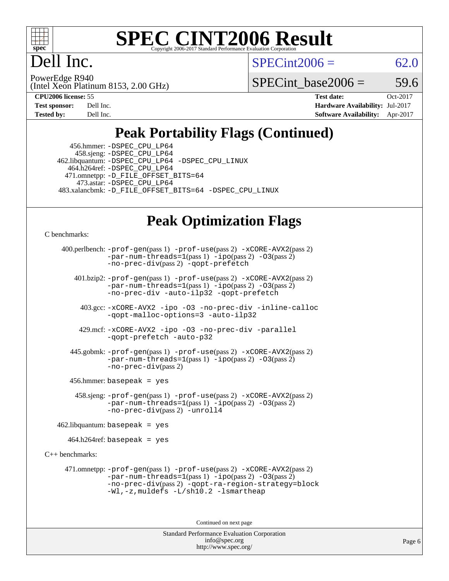

Dell Inc.

 $SPECint2006 = 62.0$  $SPECint2006 = 62.0$ 

(Intel Xeon Platinum 8153, 2.00 GHz) PowerEdge R940

SPECint base2006 =  $59.6$ 

**[CPU2006 license:](http://www.spec.org/auto/cpu2006/Docs/result-fields.html#CPU2006license)** 55 **[Test date:](http://www.spec.org/auto/cpu2006/Docs/result-fields.html#Testdate)** Oct-2017 **[Test sponsor:](http://www.spec.org/auto/cpu2006/Docs/result-fields.html#Testsponsor)** Dell Inc. **[Hardware Availability:](http://www.spec.org/auto/cpu2006/Docs/result-fields.html#HardwareAvailability)** Jul-2017 **[Tested by:](http://www.spec.org/auto/cpu2006/Docs/result-fields.html#Testedby)** Dell Inc. **[Software Availability:](http://www.spec.org/auto/cpu2006/Docs/result-fields.html#SoftwareAvailability)** Apr-2017

### **[Peak Portability Flags \(Continued\)](http://www.spec.org/auto/cpu2006/Docs/result-fields.html#PeakPortabilityFlags)**

 456.hmmer: [-DSPEC\\_CPU\\_LP64](http://www.spec.org/cpu2006/results/res2017q4/cpu2006-20171030-50396.flags.html#suite_peakPORTABILITY456_hmmer_DSPEC_CPU_LP64) 458.sjeng: [-DSPEC\\_CPU\\_LP64](http://www.spec.org/cpu2006/results/res2017q4/cpu2006-20171030-50396.flags.html#suite_peakPORTABILITY458_sjeng_DSPEC_CPU_LP64) 462.libquantum: [-DSPEC\\_CPU\\_LP64](http://www.spec.org/cpu2006/results/res2017q4/cpu2006-20171030-50396.flags.html#suite_peakPORTABILITY462_libquantum_DSPEC_CPU_LP64) [-DSPEC\\_CPU\\_LINUX](http://www.spec.org/cpu2006/results/res2017q4/cpu2006-20171030-50396.flags.html#b462.libquantum_peakCPORTABILITY_DSPEC_CPU_LINUX) 464.h264ref: [-DSPEC\\_CPU\\_LP64](http://www.spec.org/cpu2006/results/res2017q4/cpu2006-20171030-50396.flags.html#suite_peakPORTABILITY464_h264ref_DSPEC_CPU_LP64) 471.omnetpp: [-D\\_FILE\\_OFFSET\\_BITS=64](http://www.spec.org/cpu2006/results/res2017q4/cpu2006-20171030-50396.flags.html#user_peakPORTABILITY471_omnetpp_file_offset_bits_64_438cf9856305ebd76870a2c6dc2689ab) 473.astar: [-DSPEC\\_CPU\\_LP64](http://www.spec.org/cpu2006/results/res2017q4/cpu2006-20171030-50396.flags.html#suite_peakPORTABILITY473_astar_DSPEC_CPU_LP64) 483.xalancbmk: [-D\\_FILE\\_OFFSET\\_BITS=64](http://www.spec.org/cpu2006/results/res2017q4/cpu2006-20171030-50396.flags.html#user_peakPORTABILITY483_xalancbmk_file_offset_bits_64_438cf9856305ebd76870a2c6dc2689ab) [-DSPEC\\_CPU\\_LINUX](http://www.spec.org/cpu2006/results/res2017q4/cpu2006-20171030-50396.flags.html#b483.xalancbmk_peakCXXPORTABILITY_DSPEC_CPU_LINUX)

#### **[Peak Optimization Flags](http://www.spec.org/auto/cpu2006/Docs/result-fields.html#PeakOptimizationFlags)**

[C benchmarks](http://www.spec.org/auto/cpu2006/Docs/result-fields.html#Cbenchmarks):

```
 400.perlbench: -prof-gen(pass 1) -prof-use(pass 2) -xCORE-AVX2(pass 2)
        -par-num-threads=1(pass 1) -ipo(pass 2) -O3(pass 2)
        -no-prec-div(pass 2) -qopt-prefetch
401.bzip2: -prof-gen(pass 1) -prof-use(pass 2) -xCORE-AVX2(pass 2)
```
[-par-num-threads=1](http://www.spec.org/cpu2006/results/res2017q4/cpu2006-20171030-50396.flags.html#user_peakPASS1_CFLAGSPASS1_LDCFLAGS401_bzip2_par_num_threads_786a6ff141b4e9e90432e998842df6c2)(pass 1) [-ipo](http://www.spec.org/cpu2006/results/res2017q4/cpu2006-20171030-50396.flags.html#user_peakPASS2_CFLAGSPASS2_LDCFLAGS401_bzip2_f-ipo)(pass 2) [-O3](http://www.spec.org/cpu2006/results/res2017q4/cpu2006-20171030-50396.flags.html#user_peakPASS2_CFLAGSPASS2_LDCFLAGS401_bzip2_f-O3)(pass 2) [-no-prec-div](http://www.spec.org/cpu2006/results/res2017q4/cpu2006-20171030-50396.flags.html#user_peakCOPTIMIZEPASS2_CFLAGSPASS2_LDCFLAGS401_bzip2_f-no-prec-div) [-auto-ilp32](http://www.spec.org/cpu2006/results/res2017q4/cpu2006-20171030-50396.flags.html#user_peakCOPTIMIZE401_bzip2_f-auto-ilp32) [-qopt-prefetch](http://www.spec.org/cpu2006/results/res2017q4/cpu2006-20171030-50396.flags.html#user_peakCOPTIMIZE401_bzip2_f-qopt-prefetch)

 403.gcc: [-xCORE-AVX2](http://www.spec.org/cpu2006/results/res2017q4/cpu2006-20171030-50396.flags.html#user_peakOPTIMIZE403_gcc_f-xCORE-AVX2) [-ipo](http://www.spec.org/cpu2006/results/res2017q4/cpu2006-20171030-50396.flags.html#user_peakOPTIMIZE403_gcc_f-ipo) [-O3](http://www.spec.org/cpu2006/results/res2017q4/cpu2006-20171030-50396.flags.html#user_peakOPTIMIZE403_gcc_f-O3) [-no-prec-div](http://www.spec.org/cpu2006/results/res2017q4/cpu2006-20171030-50396.flags.html#user_peakOPTIMIZE403_gcc_f-no-prec-div) [-inline-calloc](http://www.spec.org/cpu2006/results/res2017q4/cpu2006-20171030-50396.flags.html#user_peakCOPTIMIZE403_gcc_f-inline-calloc) [-qopt-malloc-options=3](http://www.spec.org/cpu2006/results/res2017q4/cpu2006-20171030-50396.flags.html#user_peakCOPTIMIZE403_gcc_f-qopt-malloc-options_0fcb435012e78f27d57f473818e45fe4) [-auto-ilp32](http://www.spec.org/cpu2006/results/res2017q4/cpu2006-20171030-50396.flags.html#user_peakCOPTIMIZE403_gcc_f-auto-ilp32)

 429.mcf: [-xCORE-AVX2](http://www.spec.org/cpu2006/results/res2017q4/cpu2006-20171030-50396.flags.html#user_peakOPTIMIZE429_mcf_f-xCORE-AVX2) [-ipo](http://www.spec.org/cpu2006/results/res2017q4/cpu2006-20171030-50396.flags.html#user_peakOPTIMIZE429_mcf_f-ipo) [-O3](http://www.spec.org/cpu2006/results/res2017q4/cpu2006-20171030-50396.flags.html#user_peakOPTIMIZE429_mcf_f-O3) [-no-prec-div](http://www.spec.org/cpu2006/results/res2017q4/cpu2006-20171030-50396.flags.html#user_peakOPTIMIZE429_mcf_f-no-prec-div) [-parallel](http://www.spec.org/cpu2006/results/res2017q4/cpu2006-20171030-50396.flags.html#user_peakCOPTIMIZE429_mcf_f-parallel) [-qopt-prefetch](http://www.spec.org/cpu2006/results/res2017q4/cpu2006-20171030-50396.flags.html#user_peakCOPTIMIZE429_mcf_f-qopt-prefetch) [-auto-p32](http://www.spec.org/cpu2006/results/res2017q4/cpu2006-20171030-50396.flags.html#user_peakCOPTIMIZE429_mcf_f-auto-p32)

 445.gobmk: [-prof-gen](http://www.spec.org/cpu2006/results/res2017q4/cpu2006-20171030-50396.flags.html#user_peakPASS1_CFLAGSPASS1_LDCFLAGS445_gobmk_prof_gen_e43856698f6ca7b7e442dfd80e94a8fc)(pass 1) [-prof-use](http://www.spec.org/cpu2006/results/res2017q4/cpu2006-20171030-50396.flags.html#user_peakPASS2_CFLAGSPASS2_LDCFLAGS445_gobmk_prof_use_bccf7792157ff70d64e32fe3e1250b55)(pass 2) [-xCORE-AVX2](http://www.spec.org/cpu2006/results/res2017q4/cpu2006-20171030-50396.flags.html#user_peakPASS2_CFLAGSPASS2_LDCFLAGS445_gobmk_f-xCORE-AVX2)(pass 2)  $-$ par-num-threads=1(pass 1)  $-$ ipo(pass 2)  $-$ O3(pass 2) [-no-prec-div](http://www.spec.org/cpu2006/results/res2017q4/cpu2006-20171030-50396.flags.html#user_peakPASS2_CFLAGSPASS2_LDCFLAGS445_gobmk_f-no-prec-div)(pass 2)

456.hmmer: basepeak = yes

 458.sjeng: [-prof-gen](http://www.spec.org/cpu2006/results/res2017q4/cpu2006-20171030-50396.flags.html#user_peakPASS1_CFLAGSPASS1_LDCFLAGS458_sjeng_prof_gen_e43856698f6ca7b7e442dfd80e94a8fc)(pass 1) [-prof-use](http://www.spec.org/cpu2006/results/res2017q4/cpu2006-20171030-50396.flags.html#user_peakPASS2_CFLAGSPASS2_LDCFLAGS458_sjeng_prof_use_bccf7792157ff70d64e32fe3e1250b55)(pass 2) [-xCORE-AVX2](http://www.spec.org/cpu2006/results/res2017q4/cpu2006-20171030-50396.flags.html#user_peakPASS2_CFLAGSPASS2_LDCFLAGS458_sjeng_f-xCORE-AVX2)(pass 2)  $-par-num-threads=1(pass 1) -ipo(pass 2) -O3(pass 2)$  $-par-num-threads=1(pass 1) -ipo(pass 2) -O3(pass 2)$  $-par-num-threads=1(pass 1) -ipo(pass 2) -O3(pass 2)$  $-par-num-threads=1(pass 1) -ipo(pass 2) -O3(pass 2)$  $-par-num-threads=1(pass 1) -ipo(pass 2) -O3(pass 2)$  $-par-num-threads=1(pass 1) -ipo(pass 2) -O3(pass 2)$ [-no-prec-div](http://www.spec.org/cpu2006/results/res2017q4/cpu2006-20171030-50396.flags.html#user_peakPASS2_CFLAGSPASS2_LDCFLAGS458_sjeng_f-no-prec-div)(pass 2) [-unroll4](http://www.spec.org/cpu2006/results/res2017q4/cpu2006-20171030-50396.flags.html#user_peakCOPTIMIZE458_sjeng_f-unroll_4e5e4ed65b7fd20bdcd365bec371b81f)

 $462$ .libquantum: basepeak = yes

464.h264ref: basepeak = yes

[C++ benchmarks:](http://www.spec.org/auto/cpu2006/Docs/result-fields.html#CXXbenchmarks)

 471.omnetpp: [-prof-gen](http://www.spec.org/cpu2006/results/res2017q4/cpu2006-20171030-50396.flags.html#user_peakPASS1_CXXFLAGSPASS1_LDCXXFLAGS471_omnetpp_prof_gen_e43856698f6ca7b7e442dfd80e94a8fc)(pass 1) [-prof-use](http://www.spec.org/cpu2006/results/res2017q4/cpu2006-20171030-50396.flags.html#user_peakPASS2_CXXFLAGSPASS2_LDCXXFLAGS471_omnetpp_prof_use_bccf7792157ff70d64e32fe3e1250b55)(pass 2) [-xCORE-AVX2](http://www.spec.org/cpu2006/results/res2017q4/cpu2006-20171030-50396.flags.html#user_peakPASS2_CXXFLAGSPASS2_LDCXXFLAGS471_omnetpp_f-xCORE-AVX2)(pass 2)  $-par-num-threads=1(pass 1) -ipo(pass 2) -O3(pass 2)$  $-par-num-threads=1(pass 1) -ipo(pass 2) -O3(pass 2)$  $-par-num-threads=1(pass 1) -ipo(pass 2) -O3(pass 2)$  $-par-num-threads=1(pass 1) -ipo(pass 2) -O3(pass 2)$  $-par-num-threads=1(pass 1) -ipo(pass 2) -O3(pass 2)$  $-par-num-threads=1(pass 1) -ipo(pass 2) -O3(pass 2)$ [-no-prec-div](http://www.spec.org/cpu2006/results/res2017q4/cpu2006-20171030-50396.flags.html#user_peakPASS2_CXXFLAGSPASS2_LDCXXFLAGS471_omnetpp_f-no-prec-div)(pass 2) [-qopt-ra-region-strategy=block](http://www.spec.org/cpu2006/results/res2017q4/cpu2006-20171030-50396.flags.html#user_peakCXXOPTIMIZE471_omnetpp_f-qopt-ra-region-strategy_0f7b543d62da454b380160c0e3b28f94) [-Wl,-z,muldefs](http://www.spec.org/cpu2006/results/res2017q4/cpu2006-20171030-50396.flags.html#user_peakEXTRA_LDFLAGS471_omnetpp_link_force_multiple1_74079c344b956b9658436fd1b6dd3a8a) [-L/sh10.2 -lsmartheap](http://www.spec.org/cpu2006/results/res2017q4/cpu2006-20171030-50396.flags.html#user_peakEXTRA_LIBS471_omnetpp_SmartHeap_b831f2d313e2fffa6dfe3f00ffc1f1c0)

Continued on next page

Standard Performance Evaluation Corporation [info@spec.org](mailto:info@spec.org) <http://www.spec.org/>